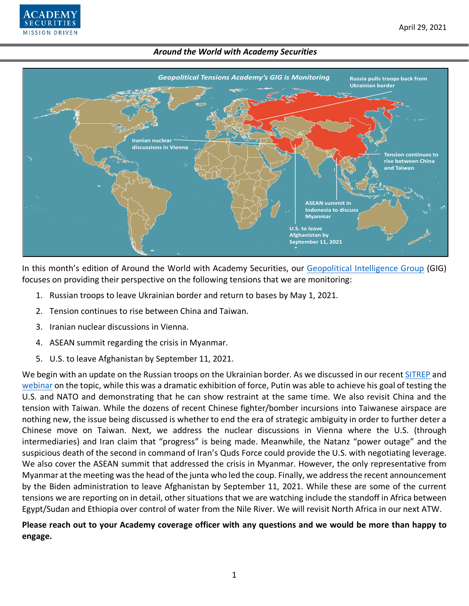



In this month's edition of Around the World with Academy Securities, our [Geopolitical Intelligence Group](https://www.academysecurities.com/geopolitical/geopolitical-intelligence-group/) (GIG) focuses on providing their perspective on the following tensions that we are monitoring:

- 1. Russian troops to leave Ukrainian border and return to bases by May 1, 2021.
- 2. Tension continues to rise between China and Taiwan.
- 3. Iranian nuclear discussions in Vienna.
- 4. ASEAN summit regarding the crisis in Myanmar.
- 5. U.S. to leave Afghanistan by September 11, 2021.

We begin with an update on the Russian troops on the Ukrainian border. As we discussed in our recent [SITREP](https://www.academysecurities.com/russian-troop-increase-on-the-ukrainian-border/) and [webinar](https://www.youtube.com/watch?v=mvMB5qDBK50) on the topic, while this was a dramatic exhibition of force, Putin was able to achieve his goal of testing the U.S. and NATO and demonstrating that he can show restraint at the same time. We also revisit China and the tension with Taiwan. While the dozens of recent Chinese fighter/bomber incursions into Taiwanese airspace are nothing new, the issue being discussed is whether to end the era of strategic ambiguity in order to further deter a Chinese move on Taiwan. Next, we address the nuclear discussions in Vienna where the U.S. (through intermediaries) and Iran claim that "progress" is being made. Meanwhile, the Natanz "power outage" and the suspicious death of the second in command of Iran's Quds Force could provide the U.S. with negotiating leverage. We also cover the ASEAN summit that addressed the crisis in Myanmar. However, the only representative from Myanmar at the meeting was the head of the junta who led the coup. Finally, we address the recent announcement by the Biden administration to leave Afghanistan by September 11, 2021. While these are some of the current tensions we are reporting on in detail, other situations that we are watching include the standoff in Africa between Egypt/Sudan and Ethiopia over control of water from the Nile River. We will revisit North Africa in our next ATW.

**Please reach out to your Academy coverage officer with any questions and we would be more than happy to engage.**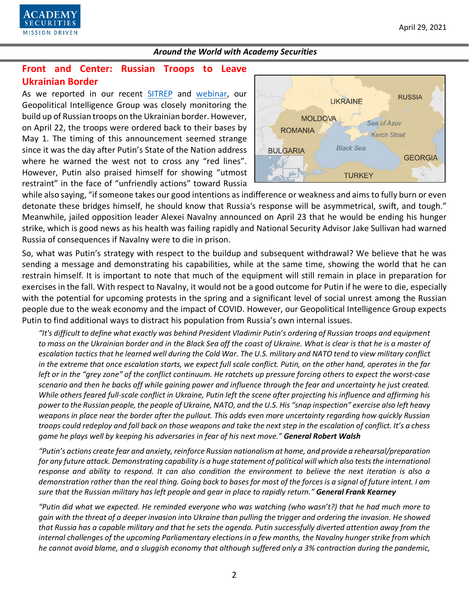

# **Front and Center: Russian Troops to Leave Ukrainian Border**

As we reported in our recent [SITREP](https://www.academysecurities.com/russian-troop-increase-on-the-ukrainian-border/) and [webinar,](https://www.youtube.com/watch?v=mvMB5qDBK50) our Geopolitical Intelligence Group was closely monitoring the build up of Russian troops on the Ukrainian border. However, on April 22, the troops were ordered back to their bases by May 1. The timing of this announcement seemed strange since it was the day after Putin's State of the Nation address where he warned the west not to cross any "red lines". However, Putin also praised himself for showing "utmost restraint" in the face of "unfriendly actions" toward Russia



while also saying, "if someone takes our good intentions as indifference or weakness and aims to fully burn or even detonate these bridges himself, he should know that Russia's response will be asymmetrical, swift, and tough." Meanwhile, jailed opposition leader Alexei Navalny announced on April 23 that he would be ending his hunger strike, which is good news as his health was failing rapidly and National Security Advisor Jake Sullivan had warned Russia of consequences if Navalny were to die in prison.

So, what was Putin's strategy with respect to the buildup and subsequent withdrawal? We believe that he was sending a message and demonstrating his capabilities, while at the same time, showing the world that he can restrain himself. It is important to note that much of the equipment will still remain in place in preparation for exercises in the fall. With respect to Navalny, it would not be a good outcome for Putin if he were to die, especially with the potential for upcoming protests in the spring and a significant level of social unrest among the Russian people due to the weak economy and the impact of COVID. However, our Geopolitical Intelligence Group expects Putin to find additional ways to distract his population from Russia's own internal issues.

*"It's difficult to define what exactly was behind President Vladimir Putin's ordering of Russian troops and equipment to mass on the Ukrainian border and in the Black Sea off the coast of Ukraine. What is clear is that he is a master of escalation tactics that he learned well during the Cold War. The U.S. military and NATO tend to view military conflict in the extreme that once escalation starts, we expect full scale conflict. Putin, on the other hand, operates in the far left or in the "grey zone" of the conflict continuum. He ratchets up pressure forcing others to expect the worst-case scenario and then he backs off while gaining power and influence through the fear and uncertainty he just created.* While others feared full-scale conflict in Ukraine, Putin left the scene after projecting his influence and affirming his *power to the Russian people, the people of Ukraine, NATO, and the U.S. His "snap inspection" exercise also left heavy weapons in place near the border after the pullout. This adds even more uncertainty regarding how quickly Russian troops could redeploy and fall back on those weapons and take the next step in the escalation of conflict. It's a chess game he plays well by keeping his adversaries in fear of his next move." General Robert Walsh*

*"Putin's actions create fear and anxiety, reinforce Russian nationalism at home, and provide a rehearsal/preparation for any future attack. Demonstrating capability is a huge statement of political will which also teststhe international response and ability to respond. It can also condition the environment to believe the next iteration is also a demonstration rather than the real thing. Going back to bases for most of the forces is a signal of future intent. I am sure that the Russian military has left people and gear in place to rapidly return." General Frank Kearney*

*"Putin did what we expected. He reminded everyone who was watching (who wasn't?) that he had much more to gain with the threat of a deeper invasion into Ukraine than pulling the trigger and ordering the invasion. He showed that Russia has a capable military and that he sets the agenda. Putin successfully diverted attention away from the internal challenges of the upcoming Parliamentary elections in a few months, the Navalny hunger strike from which he cannot avoid blame, and a sluggish economy that although suffered only a 3% contraction during the pandemic,*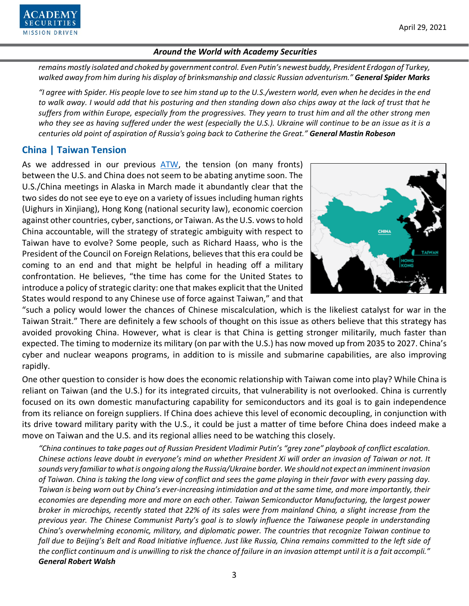

*remains mostly isolated and choked by government control. Even Putin's newest buddy, President Erdogan of Turkey, walked away from him during his display of brinksmanship and classic Russian adventurism." General Spider Marks*

*"I agree with Spider. His people love to see him stand up to the U.S./western world, even when he decides in the end to walk away. I would add that his posturing and then standing down also chips away at the lack of trust that he suffers from within Europe, especially from the progressives. They yearn to trust him and all the other strong men who they see as having suffered under the west (especially the U.S.). Ukraine will continue to be an issue as it is a centuries old point of aspiration of Russia's going back to Catherine the Great." General Mastin Robeson*

# **China | Taiwan Tension**

As we addressed in our previous [ATW,](https://www.academysecurities.com/wordpress/wp-content/uploads/2021/03/Around-the-World-with-Academy-Securities_3_31_21.pdf) the tension (on many fronts) between the U.S. and China does not seem to be abating anytime soon. The U.S./China meetings in Alaska in March made it abundantly clear that the two sides do not see eye to eye on a variety of issues including human rights (Uighurs in Xinjiang), Hong Kong (national security law), economic coercion against other countries, cyber, sanctions, or Taiwan. As the U.S. vows to hold China accountable, will the strategy of strategic ambiguity with respect to Taiwan have to evolve? Some people, such as Richard Haass, who is the President of the Council on Foreign Relations, believes that this era could be coming to an end and that might be helpful in heading off a military confrontation. He believes, "the time has come for the United States to introduce a policy of strategic clarity: one that makes explicit that the United States would respond to any Chinese use of force against Taiwan," and that



"such a policy would lower the chances of Chinese miscalculation, which is the likeliest catalyst for war in the Taiwan Strait." There are definitely a few schools of thought on this issue as others believe that this strategy has avoided provoking China. However, what is clear is that China is getting stronger militarily, much faster than expected. The timing to modernize its military (on par with the U.S.) has now moved up from 2035 to 2027. China's cyber and nuclear weapons programs, in addition to is missile and submarine capabilities, are also improving rapidly.

One other question to consider is how does the economic relationship with Taiwan come into play? While China is reliant on Taiwan (and the U.S.) for its integrated circuits, that vulnerability is not overlooked. China is currently focused on its own domestic manufacturing capability for semiconductors and its goal is to gain independence from its reliance on foreign suppliers. If China does achieve this level of economic decoupling, in conjunction with its drive toward military parity with the U.S., it could be just a matter of time before China does indeed make a move on Taiwan and the U.S. and its regional allies need to be watching this closely.

*"China continues to take pages out of Russian President Vladimir Putin's "grey zone" playbook of conflict escalation. Chinese actions leave doubt in everyone's mind on whether President Xi will order an invasion of Taiwan or not. It sounds very familiar to what is ongoing along the Russia/Ukraine border. We should not expect an imminentinvasion of Taiwan. China is taking the long view of conflict and sees the game playing in their favor with every passing day. Taiwan is being worn out by China's ever-increasing intimidation and at the same time, and more importantly, their economies are depending more and more on each other. Taiwan Semiconductor Manufacturing, the largest power broker in microchips, recently stated that 22% of its sales were from mainland China, a slight increase from the previous year. The Chinese Communist Party's goal is to slowly influence the Taiwanese people in understanding China's overwhelming economic, military, and diplomatic power. The countries that recognize Taiwan continue to fall due to Beijing's Belt and Road Initiative influence. Just like Russia, China remains committed to the left side of the conflict continuum and is unwilling to risk the chance of failure in an invasion attempt until it is a fait accompli." General Robert Walsh*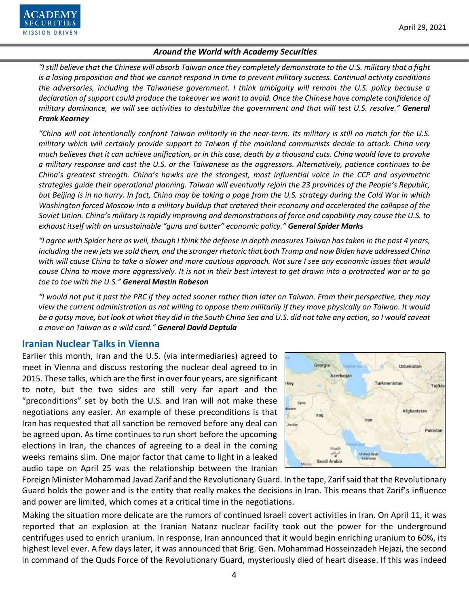

*"I still believe that the Chinese will absorb Taiwan once they completely demonstrate to the U.S. military that a fight is a losing proposition and that we cannot respond in time to prevent military success. Continual activity conditions the adversaries, including the Taiwanese government. I think ambiguity will remain the U.S. policy because a declaration of support could produce the takeover we want to avoid. Once the Chinese have complete confidence of military dominance, we will see activities to destabilize the government and that will test U.S. resolve." General Frank Kearney*

*"China will not intentionally confront Taiwan militarily in the near-term. Its military is still no match for the U.S. military which will certainly provide support to Taiwan if the mainland communists decide to attack. China very much believes that it can achieve unification, or in this case, death by a thousand cuts. China would love to provoke a military response and cast the U.S. or the Taiwanese as the aggressors. Alternatively, patience continues to be China's greatest strength. China's hawks are the strongest, most influential voice in the CCP and asymmetric strategies guide their operational planning. Taiwan will eventually rejoin the 23 provinces of the People's Republic, but Beijing is in no hurry. In fact, China may be taking a page from the U.S. strategy during the Cold War in which Washington forced Moscow into a military buildup that cratered their economy and accelerated the collapse of the Soviet Union. China's military is rapidly improving and demonstrations of force and capability may cause the U.S. to exhaust itself with an unsustainable "guns and butter" economic policy." General Spider Marks*

*"I agree with Spider here as well, though I think the defense in depth measures Taiwan has taken in the past 4 years, including the new jets we sold them, and the stronger rhetoric that both Trump and now Biden have addressed China with will cause China to take a slower and more cautious approach. Not sure I see any economic issues that would cause China to move more aggressively. It is not in their best interest to get drawn into a protracted war or to go toe to toe with the U.S." General Mastin Robeson*

*"I would not put it past the PRC if they acted sooner rather than later on Taiwan. From their perspective, they may view the current administration as not willing to oppose them militarily if they move physically on Taiwan. It would be a gutsy move, but look at what they did in the South China Sea and U.S. did not take any action, so I would caveat a move on Taiwan as a wild card." General David Deptula*

## **Iranian Nuclear Talks in Vienna**

Earlier this month, Iran and the U.S. (via intermediaries) agreed to meet in Vienna and discuss restoring the nuclear deal agreed to in 2015. These talks, which are the first in over four years, are significant to note, but the two sides are still very far apart and the "preconditions" set by both the U.S. and Iran will not make these negotiations any easier. An example of these preconditions is that Iran has requested that all sanction be removed before any deal can be agreed upon. As time continues to run short before the upcoming elections in Iran, the chances of agreeing to a deal in the coming weeks remains slim. One major factor that came to light in a leaked audio tape on April 25 was the relationship between the Iranian



Foreign Minister Mohammad Javad Zarif and the Revolutionary Guard. In the tape, Zarif said that the Revolutionary Guard holds the power and is the entity that really makes the decisions in Iran. This means that Zarif's influence and power are limited, which comes at a critical time in the negotiations.

Making the situation more delicate are the rumors of continued Israeli covert activities in Iran. On April 11, it was reported that an explosion at the Iranian Natanz nuclear facility took out the power for the underground centrifuges used to enrich uranium. In response, Iran announced that it would begin enriching uranium to 60%, its highest level ever. A few days later, it was announced that Brig. Gen. Mohammad Hosseinzadeh Hejazi, the second in command of the Quds Force of the Revolutionary Guard, mysteriously died of heart disease. If this was indeed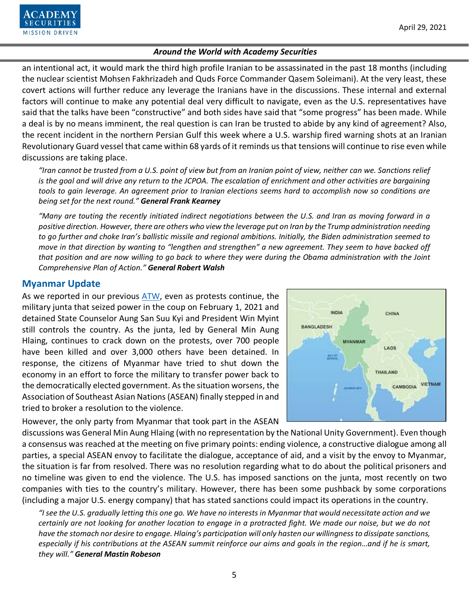

an intentional act, it would mark the third high profile Iranian to be assassinated in the past 18 months (including the nuclear scientist Mohsen Fakhrizadeh and Quds Force Commander Qasem Soleimani). At the very least, these covert actions will further reduce any leverage the Iranians have in the discussions. These internal and external factors will continue to make any potential deal very difficult to navigate, even as the U.S. representatives have said that the talks have been "constructive" and both sides have said that "some progress" has been made. While a deal is by no means imminent, the real question is can Iran be trusted to abide by any kind of agreement? Also, the recent incident in the northern Persian Gulf this week where a U.S. warship fired warning shots at an Iranian Revolutionary Guard vessel that came within 68 yards of it reminds us that tensions will continue to rise even while discussions are taking place.

*"Iran cannot be trusted from a U.S. point of view but from an Iranian point of view, neither can we. Sanctions relief is the goal and will drive any return to the JCPOA. The escalation of enrichment and other activities are bargaining tools to gain leverage. An agreement prior to Iranian elections seems hard to accomplish now so conditions are being set for the next round." General Frank Kearney*

*"Many are touting the recently initiated indirect negotiations between the U.S. and Iran as moving forward in a positive direction. However, there are others who view the leverage put on Iran by the Trump administration needing to go further and choke Iran's ballistic missile and regional ambitions. Initially, the Biden administration seemed to move in that direction by wanting to "lengthen and strengthen" a new agreement. They seem to have backed off that position and are now willing to go back to where they were during the Obama administration with the Joint Comprehensive Plan of Action." General Robert Walsh*

# **Myanmar Update**

As we reported in our previous [ATW,](https://www.academysecurities.com/wordpress/wp-content/uploads/2021/03/Around-the-World-with-Academy-Securities_3_31_21.pdf) even as protests continue, the military junta that seized power in the coup on February 1, 2021 and detained State Counselor Aung San Suu Kyi and President Win Myint still controls the country. As the junta, led by General Min Aung Hlaing, continues to crack down on the protests, over 700 people have been killed and over 3,000 others have been detained. In response, the citizens of Myanmar have tried to shut down the economy in an effort to force the military to transfer power back to the democratically elected government. As the situation worsens, the Association of Southeast Asian Nations(ASEAN) finally stepped in and tried to broker a resolution to the violence.

However, the only party from Myanmar that took part in the ASEAN



discussions was General Min Aung Hlaing (with no representation by the National Unity Government). Even though a consensus was reached at the meeting on five primary points: ending violence, a constructive dialogue among all parties, a special ASEAN envoy to facilitate the dialogue, acceptance of aid, and a visit by the envoy to Myanmar, the situation is far from resolved. There was no resolution regarding what to do about the political prisoners and no timeline was given to end the violence. The U.S. has imposed sanctions on the junta, most recently on two companies with ties to the country's military. However, there has been some pushback by some corporations (including a major U.S. energy company) that has stated sanctions could impact its operations in the country.

*"I see the U.S. gradually letting this one go. We have no interests in Myanmar that would necessitate action and we certainly are not looking for another location to engage in a protracted fight. We made our noise, but we do not have the stomach nor desire to engage. Hlaing's participation will only hasten our willingness to dissipate sanctions, especially if his contributions at the ASEAN summit reinforce our aims and goals in the region…and if he is smart, they will." General Mastin Robeson*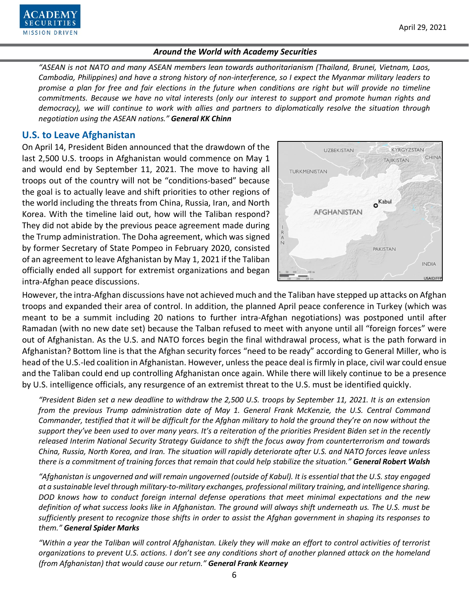

*"ASEAN is not NATO and many ASEAN members lean towards authoritarianism (Thailand, Brunei, Vietnam, Laos, Cambodia, Philippines) and have a strong history of non-interference, so I expect the Myanmar military leaders to promise a plan for free and fair elections in the future when conditions are right but will provide no timeline commitments. Because we have no vital interests (only our interest to support and promote human rights and democracy), we will continue to work with allies and partners to diplomatically resolve the situation through negotiation using the ASEAN nations." General KK Chinn*

# **U.S. to Leave Afghanistan**

On April 14, President Biden announced that the drawdown of the last 2,500 U.S. troops in Afghanistan would commence on May 1 and would end by September 11, 2021. The move to having all troops out of the country will not be "conditions-based" because the goal is to actually leave and shift priorities to other regions of the world including the threats from China, Russia, Iran, and North Korea. With the timeline laid out, how will the Taliban respond? They did not abide by the previous peace agreement made during the Trump administration. The Doha agreement, which was signed by former Secretary of State Pompeo in February 2020, consisted of an agreement to leave Afghanistan by May 1, 2021 if the Taliban officially ended all support for extremist organizations and began intra-Afghan peace discussions.



However, the intra-Afghan discussions have not achieved much and the Taliban have stepped up attacks on Afghan troops and expanded their area of control. In addition, the planned April peace conference in Turkey (which was meant to be a summit including 20 nations to further intra-Afghan negotiations) was postponed until after Ramadan (with no new date set) because the Talban refused to meet with anyone until all "foreign forces" were out of Afghanistan. As the U.S. and NATO forces begin the final withdrawal process, what is the path forward in Afghanistan? Bottom line is that the Afghan security forces "need to be ready" according to General Miller, who is head of the U.S.-led coalition in Afghanistan. However, unless the peace deal is firmly in place, civil war could ensue and the Taliban could end up controlling Afghanistan once again. While there will likely continue to be a presence by U.S. intelligence officials, any resurgence of an extremist threat to the U.S. must be identified quickly.

*"President Biden set a new deadline to withdraw the 2,500 U.S. troops by September 11, 2021. It is an extension from the previous Trump administration date of May 1. General Frank McKenzie, the U.S. Central Command Commander, testified that it will be difficult for the Afghan military to hold the ground they're on now without the support they've been used to over many years. It's a reiteration of the priorities President Biden set in the recently released Interim National Security Strategy Guidance to shift the focus away from counterterrorism and towards China, Russia, North Korea, and Iran. The situation will rapidly deteriorate after U.S. and NATO forces leave unless there is a commitment of training forces that remain that could help stabilize the situation." General Robert Walsh*

*"Afghanistan is ungoverned and will remain ungoverned (outside of Kabul). It is essential that the U.S. stay engaged at a sustainable level through military-to-military exchanges, professional military training, and intelligence sharing. DOD knows how to conduct foreign internal defense operations that meet minimal expectations and the new definition of what success looks like in Afghanistan. The ground will always shift underneath us. The U.S. must be sufficiently present to recognize those shifts in order to assist the Afghan government in shaping its responses to them." General Spider Marks*

*"Within a year the Taliban will control Afghanistan. Likely they will make an effort to control activities of terrorist organizations to prevent U.S. actions. I don't see any conditions short of another planned attack on the homeland (from Afghanistan) that would cause our return." General Frank Kearney*